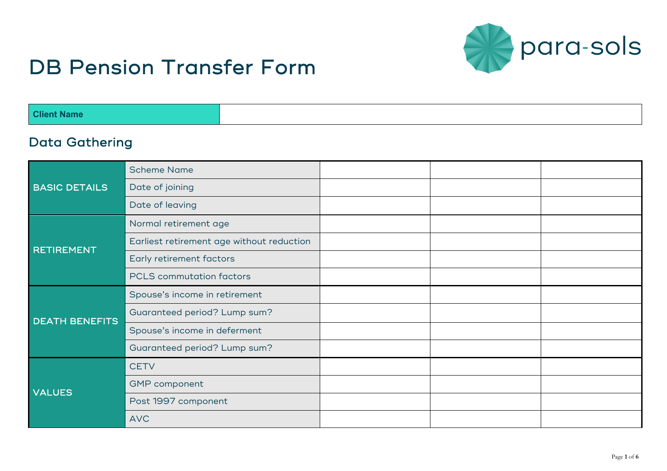

# DB Pension Transfer Form

| NG.    |  |
|--------|--|
| * Name |  |
|        |  |

#### Data Gathering

| <b>BASIC DETAILS</b>  | <b>Scheme Name</b>                        |  |  |
|-----------------------|-------------------------------------------|--|--|
|                       | Date of joining                           |  |  |
|                       | Date of leaving                           |  |  |
| <b>RETIREMENT</b>     | Normal retirement age                     |  |  |
|                       | Earliest retirement age without reduction |  |  |
|                       | Early retirement factors                  |  |  |
|                       | <b>PCLS</b> commutation factors           |  |  |
| <b>DEATH BENEFITS</b> | Spouse's income in retirement             |  |  |
|                       | Guaranteed period? Lump sum?              |  |  |
|                       | Spouse's income in deferment              |  |  |
|                       | Guaranteed period? Lump sum?              |  |  |
| <b>VALUES</b>         | <b>CETV</b>                               |  |  |
|                       | <b>GMP</b> component                      |  |  |
|                       | Post 1997 component                       |  |  |
|                       | <b>AVC</b>                                |  |  |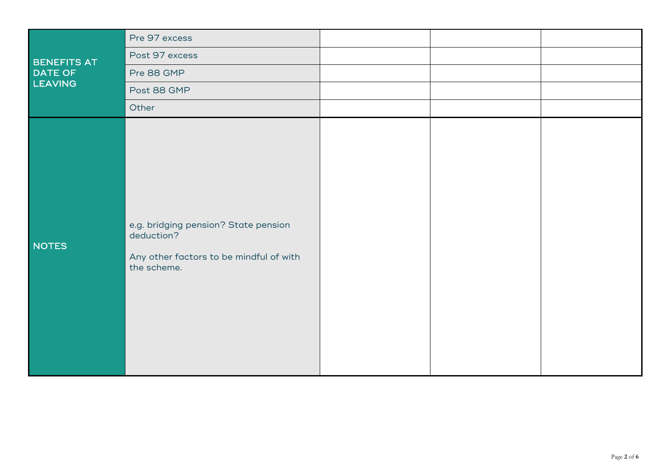| BENEFITS AT<br>DATE OF<br>LEAVING | Pre 97 excess                                                                                                |  |  |
|-----------------------------------|--------------------------------------------------------------------------------------------------------------|--|--|
|                                   | Post 97 excess                                                                                               |  |  |
|                                   | Pre 88 GMP                                                                                                   |  |  |
|                                   | Post 88 GMP                                                                                                  |  |  |
|                                   | Other                                                                                                        |  |  |
| NOTES                             | e.g. bridging pension? State pension<br>deduction?<br>Any other factors to be mindful of with<br>the scheme. |  |  |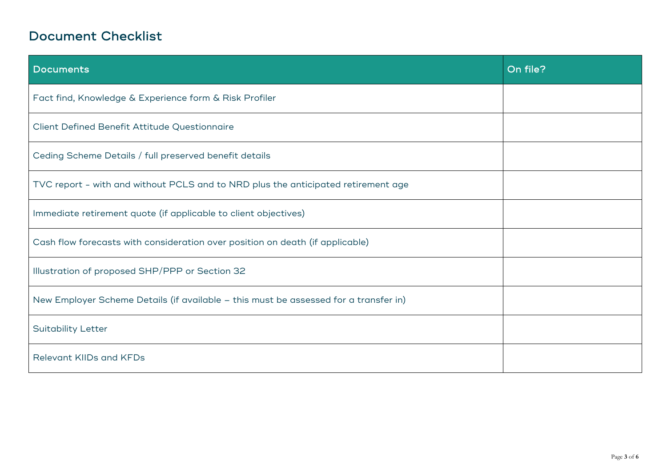## Document Checklist

| Documents                                                                            | On file? |
|--------------------------------------------------------------------------------------|----------|
| Fact find, Knowledge & Experience form & Risk Profiler                               |          |
| Client Defined Benefit Attitude Questionnaire                                        |          |
| Ceding Scheme Details / full preserved benefit details                               |          |
| TVC report - with and without PCLS and to NRD plus the anticipated retirement age    |          |
| Immediate retirement quote (if applicable to client objectives)                      |          |
| Cash flow forecasts with consideration over position on death (if applicable)        |          |
| Illustration of proposed SHP/PPP or Section 32                                       |          |
| New Employer Scheme Details (if available - this must be assessed for a transfer in) |          |
| <b>Suitability Letter</b>                                                            |          |
| Relevant KIIDs and KFDs                                                              |          |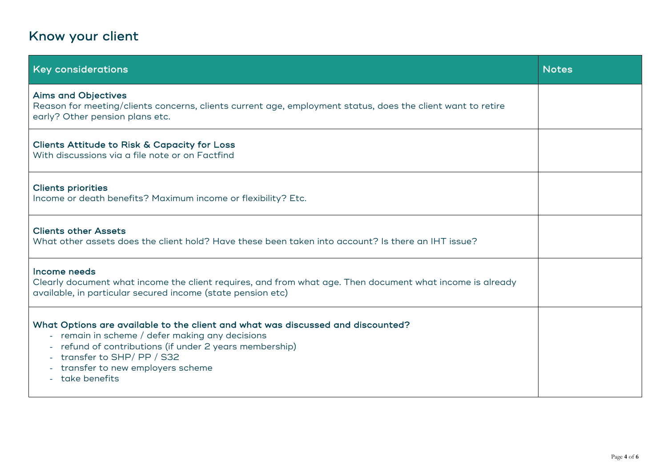# Know your client

| <b>Key considerations</b>                                                                                                                                                                                                                                                        | <b>Notes</b> |
|----------------------------------------------------------------------------------------------------------------------------------------------------------------------------------------------------------------------------------------------------------------------------------|--------------|
| <b>Aims and Objectives</b><br>Reason for meeting/clients concerns, clients current age, employment status, does the client want to retire<br>early? Other pension plans etc.                                                                                                     |              |
| <b>Clients Attitude to Risk &amp; Capacity for Loss</b><br>With discussions via a file note or on Factfind                                                                                                                                                                       |              |
| <b>Clients priorities</b><br>Income or death benefits? Maximum income or flexibility? Etc.                                                                                                                                                                                       |              |
| <b>Clients other Assets</b><br>What other assets does the client hold? Have these been taken into account? Is there an IHT issue?                                                                                                                                                |              |
| Income needs<br>Clearly document what income the client requires, and from what age. Then document what income is already<br>available, in particular secured income (state pension etc)                                                                                         |              |
| What Options are available to the client and what was discussed and discounted?<br>- remain in scheme / defer making any decisions<br>- refund of contributions (if under 2 years membership)<br>transfer to SHP/PP / S32<br>transfer to new employers scheme<br>- take benefits |              |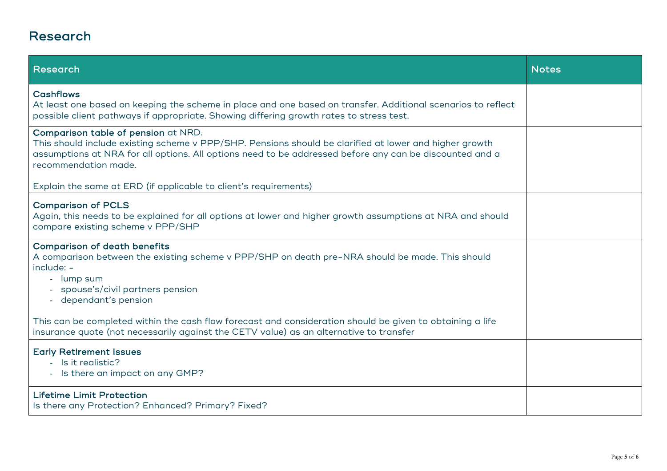### Research

| Research                                                                                                                                                                                                                                                                         | <b>Notes</b> |
|----------------------------------------------------------------------------------------------------------------------------------------------------------------------------------------------------------------------------------------------------------------------------------|--------------|
| <b>Cashflows</b><br>At least one based on keeping the scheme in place and one based on transfer. Additional scenarios to reflect<br>possible client pathways if appropriate. Showing differing growth rates to stress test.                                                      |              |
| Comparison table of pension at NRD.<br>This should include existing scheme v PPP/SHP. Pensions should be clarified at lower and higher growth<br>assumptions at NRA for all options. All options need to be addressed before any can be discounted and a<br>recommendation made. |              |
| Explain the same at ERD (if applicable to client's requirements)                                                                                                                                                                                                                 |              |
| <b>Comparison of PCLS</b><br>Again, this needs to be explained for all options at lower and higher growth assumptions at NRA and should<br>compare existing scheme v PPP/SHP                                                                                                     |              |
| <b>Comparison of death benefits</b><br>A comparison between the existing scheme v PPP/SHP on death pre-NRA should be made. This should<br>include: -<br>lump sum<br>spouse's/civil partners pension<br>- dependant's pension                                                     |              |
| This can be completed within the cash flow forecast and consideration should be given to obtaining a life<br>insurance quote (not necessarily against the CETV value) as an alternative to transfer                                                                              |              |
| <b>Early Retirement Issues</b><br>- Is it realistic?<br>- Is there an impact on any GMP?                                                                                                                                                                                         |              |
| <b>Lifetime Limit Protection</b><br>Is there any Protection? Enhanced? Primary? Fixed?                                                                                                                                                                                           |              |